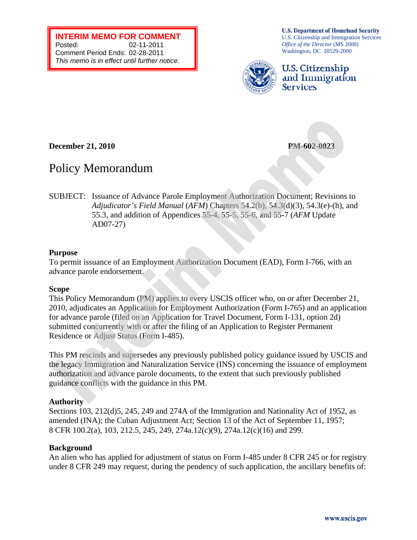**INTERIM MEMO FOR COMMENT**  Posted: 02-11-2011 Comment Period Ends: 02-28-2011 *This memo is in effect until further notice.* 

**U.S. Department of Homeland Security** U.S. Citizenship and Immigration Services *Office of the Director* (MS 2000) Washington, DC 20529-2000



**U.S. Citizenship** and Immigration **Services** 

**December 21, 2010 PM-602-0023** 

### Policy Memorandum

SUBJECT: Issuance of Advance Parole Employment Authorization Document; Revisions to *Adjudicator's Field Manual* (*AFM*) Chapters 54.2(b), 54.3(d)(3), 54.3(e)-(h), and 55.3, and addition of Appendices 55-4, 55-5, 55-6, and 55-7 (*AFM* Update AD07-27)

### **Purpose**

To permit issuance of an Employment Authorization Document (EAD), Form I-766, with an advance parole endorsement.

### **Scope**

This Policy Memorandum (PM) applies to every USCIS officer who, on or after December 21, 2010, adjudicates an Application for Employment Authorization (Form I-765) and an application for advance parole (filed on an Application for Travel Document, Form I-131, option 2d) submitted concurrently with or after the filing of an Application to Register Permanent Residence or Adjust Status (Form I-485).

This PM rescinds and supersedes any previously published policy guidance issued by USCIS and guidance conflicts with the guidance in this PM. the legacy Immigration and Naturalization Service (INS) concerning the issuance of employment authorization and advance parole documents, to the extent that such previously published

### **Authority**

Sections 103, 212(d)5, 245, 249 and 274A of the Immigration and Nationality Act of 1952, as amended (INA); the Cuban Adjustment Act; Section 13 of the Act of September 11, 1957; 8 CFR 100.2(a), 103, 212.5, 245, 249, 274a.12(c)(9), 274a.12(c)(16) and 299.

### **Background**

An alien who has applied for adjustment of status on Form I-485 under 8 CFR 245 or for registry under 8 CFR 249 may request, during the pendency of such application, the ancillary benefits of: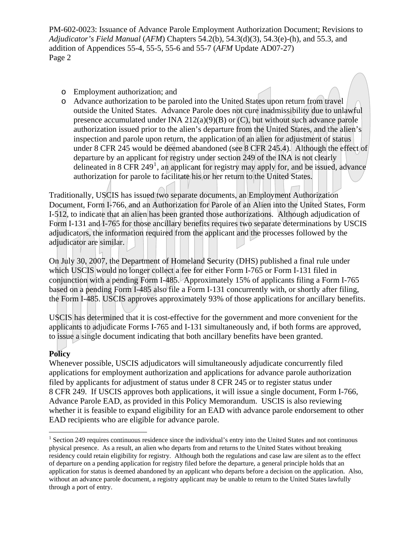- o Employment authorization; and
- o Advance authorization to be paroled into the United States upon return from travel outside the United States. Advance Parole does not cure inadmissibility due to unlawful presence accumulated under INA 212(a)(9)(B) or  $(C)$ , but without such advance parole authorization issued prior to the alien's departure from the United States, and the alien's inspection and parole upon return, the application of an alien for adjustment of status under 8 CFR 245 would be deemed abandoned (see 8 CFR 245.4). Although the effect of departure by an applicant for registry under section 249 of the INA is not clearly delineated in 8 CFR 249<sup>[1](#page-1-0)</sup>, an applicant for registry may apply for, and be issued, advance authorization for parole to facilitate his or her return to the United States.

Traditionally, USCIS has issued two separate documents, an Employment Authorization Document, Form I-766, and an Authorization for Parole of an Alien into the United States, Form I-512, to indicate that an alien has been granted those authorizations. Although adjudication of Form I-131 and I-765 for those ancillary benefits requires two separate determinations by USCIS adjudicators, the information required from the applicant and the processes followed by the adjudicator are similar.

On July 30, 2007, the Department of Homeland Security (DHS) published a final rule under which USCIS would no longer collect a fee for either Form I-765 or Form I-131 filed in conjunction with a pending Form I-485. Approximately 15% of applicants filing a Form I-765 based on a pending Form I-485 also file a Form I-131 concurrently with, or shortly after filing, the Form I-485. USCIS approves approximately 93% of those applications for ancillary benefits.

USCIS has determined that it is cost-effective for the government and more convenient for the applicants to adjudicate Forms I-765 and I-131 simultaneously and, if both forms are approved, to issue a single document indicating that both ancillary benefits have been granted.

### **Policy**

Whenever possible, USCIS adjudicators will simultaneously adjudicate concurrently filed applications for employment authorization and applications for advance parole authorization filed by applicants for adjustment of status under 8 CFR 245 or to register status under 8 CFR 249. If USCIS approves both applications, it will issue a single document, Form I-766, Advance Parole EAD, as provided in this Policy Memorandum. USCIS is also reviewing whether it is feasible to expand eligibility for an EAD with advance parole endorsement to other EAD recipients who are eligible for advance parole.

<span id="page-1-0"></span><sup>&</sup>lt;sup>1</sup> Section 249 requires continuous residence since the individual's entry into the United States and not continuous physical presence. As a result, an alien who departs from and returns to the United States without breaking residency could retain eligibility for registry. Although both the regulations and case law are silent as to the effect of departure on a pending application for registry filed before the departure, a general principle holds that an application for status is deemed abandoned by an applicant who departs before a decision on the application. Also, without an advance parole document, a registry applicant may be unable to return to the United States lawfully through a port of entry.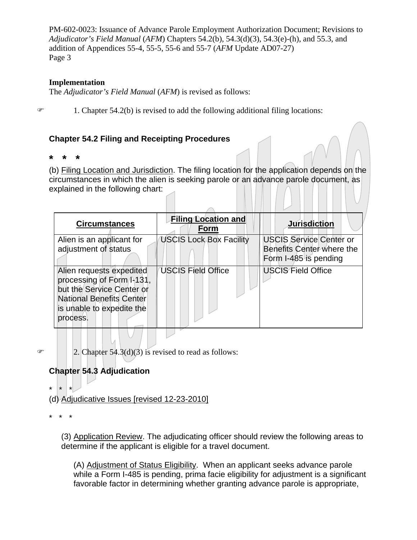### **Implementation**

The *Adjudicator's Field Manual* (*AFM*) is revised as follows:

 $\mathcal{F}$  1. Chapter 54.2(b) is revised to add the following additional filing locations:

### **Chapter 54.2 Filing and Receipting Procedures**

**\* \* \*** 

(b) Filing Location and Jurisdiction. The filing location for the application depends on the circumstances in which the alien is seeking parole or an advance parole document, as explained in the following chart:

| <b>Circumstances</b>                                                                                                                                                  | <b>Filing Location and</b><br>Form | <b>Jurisdiction</b>                                                                  |
|-----------------------------------------------------------------------------------------------------------------------------------------------------------------------|------------------------------------|--------------------------------------------------------------------------------------|
| Alien is an applicant for<br>adjustment of status                                                                                                                     | <b>USCIS Lock Box Facility</b>     | <b>USCIS Service Center or</b><br>Benefits Center where the<br>Form I-485 is pending |
| Alien requests expedited<br>processing of Form <b>A</b> 131,<br>but the Service Center or<br><b>National Benefits Center</b><br>is unable to expedite the<br>process. | <b>USCIS Field Office</b>          | <b>USCIS Field Office</b>                                                            |

 $\mathcal{F}$  | | 2. Chapter 54.3(d)(3) is revised to read as follows:

### **Chapter 54.3 Adjudication**

\* \* \*

(d) Adjudicative Issues [revised 12-23-2010]

\* \* \*

(3) Application Review. The adjudicating officer should review the following areas to determine if the applicant is eligible for a travel document.

(A) Adjustment of Status Eligibility. When an applicant seeks advance parole while a Form I-485 is pending, prima facie eligibility for adjustment is a significant favorable factor in determining whether granting advance parole is appropriate,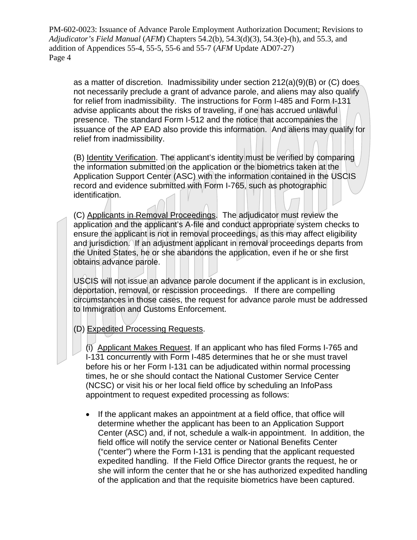as a matter of discretion. Inadmissibility under section  $212(a)(9)(B)$  or (C) does not necessarily preclude a grant of advance parole, and aliens may also qualify for relief from inadmissibility. The instructions for Form I-485 and Form 1-131 advise applicants about the risks of traveling, if one has accrued unlawful presence. The standard Form I-512 and the notice that accompanies the issuance of the AP EAD also provide this information. And aliens may qualify for relief from inadmissibility.

(B) Identity Verification. The applicant's identity must be verified by comparing the information submitted on the application or the biometrics taken at the Application Support Center (ASC) with the information contained in the USCIS record and evidence submitted with Form I-765, such as photographic identification.

(C) Applicants in Removal Proceedings. The adjudicator must review the application and the applicant's A-file and conduct appropriate system checks to ensure the applicant is not in removal proceedings, as this may affect eligibility and jurisdiction. If an adjustment applicant in removal proceedings departs from the United States, he or she abandons the application, even if he or she first obtains advance parole.

USCIS will not issue an advance parole document if the applicant is in exclusion, deportation, removal, or rescission proceedings. If there are compelling circumstances in those cases, the request for advance parole must be addressed to Immigration and Customs Enforcement.

### (D) Expedited Processing Requests.

(i) Applicant Makes Request. If an applicant who has filed Forms I-765 and I-131 concurrently with Form I-485 determines that he or she must travel before his or her Form I-131 can be adjudicated within normal processing times, he or she should contact the National Customer Service Center (NCSC) or visit his or her local field office by scheduling an InfoPass appointment to request expedited processing as follows:

 If the applicant makes an appointment at a field office, that office will determine whether the applicant has been to an Application Support Center (ASC) and, if not, schedule a walk-in appointment. In addition, the field office will notify the service center or National Benefits Center ("center") where the Form I-131 is pending that the applicant requested expedited handling. If the Field Office Director grants the request, he or she will inform the center that he or she has authorized expedited handling of the application and that the requisite biometrics have been captured.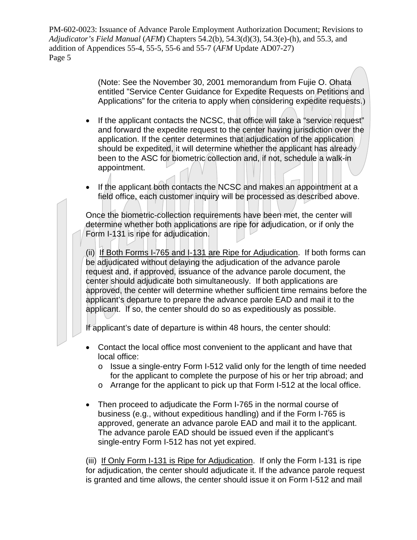> (Note: See the November 30, 2001 memorandum from Fujie O. Ohata entitled "Service Center Guidance for Expedite Requests on Petitions and Applications" for the criteria to apply when considering expedite requests.)

- If the applicant contacts the NCSC, that office will take a "service request" and forward the expedite request to the center having jurisdiction over the application. If the center determines that adjudication of the application should be expedited, it will determine whether the applicant has already been to the ASC for biometric collection and, if not, schedule a walk-in appointment.
- If the applicant both contacts the NCSC and makes an appointment at a field office, each customer inquiry will be processed as described above.

Once the biometric-collection requirements have been met, the center will determine whether both applications are ripe for adjudication, or if only the Form I-131 is ripe for adjudication.

(ii) If Both Forms I-765 and I-131 are Ripe for Adjudication. If both forms can be adjudicated without delaying the adjudication of the advance parole request and, if approved, issuance of the advance parole document, the center should adjudicate both simultaneously. If both applications are approved, the center will determine whether sufficient time remains before the applicant's departure to prepare the advance parole EAD and mail it to the applicant. If so, the center should do so as expeditiously as possible.

If applicant's date of departure is within 48 hours, the center should:

- Contact the local office most convenient to the applicant and have that local office:
	- o Issue a single-entry Form I-512 valid only for the length of time needed for the applicant to complete the purpose of his or her trip abroad; and
	- $\circ$  Arrange for the applicant to pick up that Form I-512 at the local office.
- Then proceed to adjudicate the Form I-765 in the normal course of business (e.g., without expeditious handling) and if the Form I-765 is approved, generate an advance parole EAD and mail it to the applicant. The advance parole EAD should be issued even if the applicant's single-entry Form I-512 has not yet expired.

(iii) If Only Form I-131 is Ripe for Adjudication. If only the Form I-131 is ripe for adjudication, the center should adjudicate it. If the advance parole request is granted and time allows, the center should issue it on Form I-512 and mail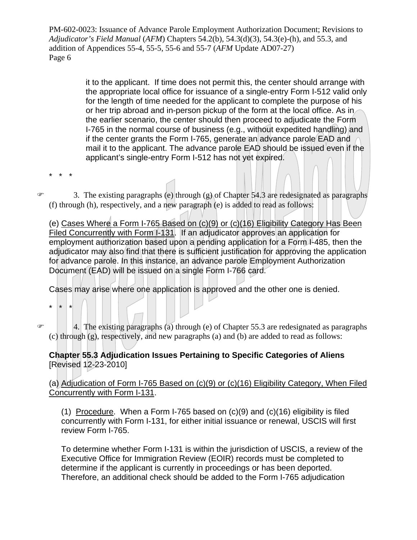> it to the applicant. If time does not permit this, the center should arrange with the appropriate local office for issuance of a single-entry Form I-512 valid only for the length of time needed for the applicant to complete the purpose of his or her trip abroad and in-person pickup of the form at the local office. As in the earlier scenario, the center should then proceed to adjudicate the Form I-765 in the normal course of business (e.g., without expedited handling) and if the center grants the Form I-765, generate an advance parole EAD and mail it to the applicant. The advance parole EAD should be issued even if the applicant's single-entry Form I-512 has not yet expired.

\* \* \*

 $\infty$  3. The existing paragraphs (e) through (g) of Chapter 54.3 are redesignated as paragraphs (f) through (h), respectively, and a new paragraph (e) is added to read as follows:

(e) Cases Where a Form I-765 Based on (c)(9) or (c)(16) Eligibility Category Has Been Filed Concurrently with Form I-131. If an adjudicator approves an application for employment authorization based upon a pending application for a Form I-485, then the adjudicator may also find that there is sufficient justification for approving the application for advance parole. In this instance, an advance parole Employment Authorization Document (EAD) will be issued on a single Form I-766 card.

Cases may arise where one application is approved and the other one is denied.

\* \* \*

 $\in$  4. The existing paragraphs (a) through (e) of Chapter 55.3 are redesignated as paragraphs (c) through (g), respectively, and new paragraphs (a) and (b) are added to read as follows:

### **Chapter 55.3 Adjudication Issues Pertaining to Specific Categories of Aliens**  [Revised 12-23-2010]

(a) Adjudication of Form I-765 Based on (c)(9) or (c)(16) Eligibility Category, When Filed Concurrently with Form I-131.

(1) Procedure. When a Form I-765 based on (c)(9) and (c)(16) eligibility is filed concurrently with Form I-131, for either initial issuance or renewal, USCIS will first review Form I-765.

To determine whether Form I-131 is within the jurisdiction of USCIS, a review of the Executive Office for Immigration Review (EOIR) records must be completed to determine if the applicant is currently in proceedings or has been deported. Therefore, an additional check should be added to the Form I-765 adjudication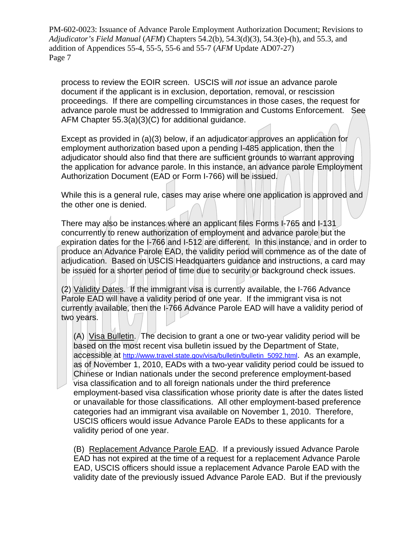process to review the EOIR screen. USCIS will *not* issue an advance parole document if the applicant is in exclusion, deportation, removal, or rescission proceedings. If there are compelling circumstances in those cases, the request for advance parole must be addressed to Immigration and Customs Enforcement. See AFM Chapter 55.3(a)(3)(C) for additional guidance.

Except as provided in (a)(3) below, if an adjudicator approves an application for employment authorization based upon a pending I-485 application, then the adjudicator should also find that there are sufficient grounds to warrant approving the application for advance parole. In this instance, an advance parole Employment Authorization Document (EAD or Form I-766) will be issued.

While this is a general rule, cases may arise where one application is approved and the other one is denied.

There may also be instances where an applicant files Forms I-765 and I-131 concurrently to renew authorization of employment and advance parole but the expiration dates for the I-766 and I-512 are different. In this instance, and in order to produce an Advance Parole EAD, the validity period will commence as of the date of adjudication. Based on USCIS Headquarters guidance and instructions, a card may be issued for a shorter period of time due to security or background check issues.

two years. (2) Validity Dates. If the immigrant visa is currently available, the I-766 Advance Parole EAD will have a validity period of one year. If the immigrant visa is not currently available, then the I-766 Advance Parole EAD will have a validity period of

(A) Visa Bulletin. The decision to grant a one or two-year validity period will be based on the most recent visa bulletin issued by the Department of State, accessible at [http://www.travel.state.gov/visa/bulletin/bulletin\\_5092.html.](http://www.travel.state.gov/visa/bulletin/bulletin_5092.html) As an example, as of November 1, 2010, EADs with a two-year validity period could be issued to Chinese or Indian nationals under the second preference employment-based visa classification and to all foreign nationals under the third preference employment-based visa classification whose priority date is after the dates listed or unavailable for those classifications. All other employment-based preference categories had an immigrant visa available on November 1, 2010. Therefore, USCIS officers would issue Advance Parole EADs to these applicants for a validity period of one year.

(B) Replacement Advance Parole EAD. If a previously issued Advance Parole EAD has not expired at the time of a request for a replacement Advance Parole EAD, USCIS officers should issue a replacement Advance Parole EAD with the validity date of the previously issued Advance Parole EAD. But if the previously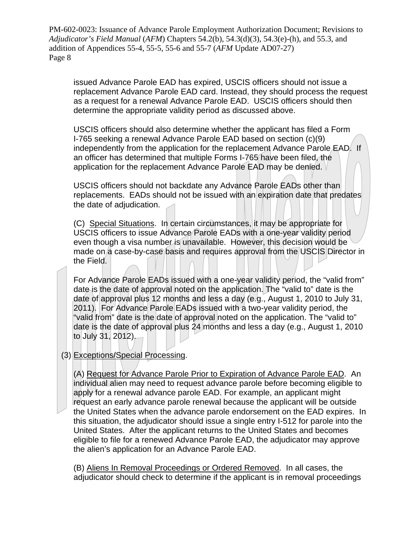issued Advance Parole EAD has expired, USCIS officers should not issue a replacement Advance Parole EAD card. Instead, they should process the request as a request for a renewal Advance Parole EAD. USCIS officers should then determine the appropriate validity period as discussed above.

USCIS officers should also determine whether the applicant has filed a Form I-765 seeking a renewal Advance Parole EAD based on section (c)(9) independently from the application for the replacement Advance Parole EAD. If an officer has determined that multiple Forms I-765 have been filed, the application for the replacement Advance Parole EAD may be denied.

USCIS officers should not backdate any Advance Parole EADs other than replacements. EADs should not be issued with an expiration date that predates the date of adjudication.

(C) Special Situations. In certain circumstances, it may be appropriate for USCIS officers to issue Advance Parole EADs with a one-year validity period even though a visa number is unavailable. However, this decision would be made on a case-by-case basis and requires approval from the USCIS Director in the Field.

For Advance Parole EADs issued with a one-year validity period, the "valid from" date is the date of approval noted on the application. The "valid to" date is the date of approval plus 12 months and less a day (e.g., August 1, 2010 to July 31, 2011). For Advance Parole EADs issued with a two-year validity period, the "valid from" date is the date of approval noted on the application. The "valid to" date is the date of approval plus 24 months and less a day (e.g., August 1, 2010 to July 31, 2012).

(3) Exceptions/Special Processing.

(A) Request for Advance Parole Prior to Expiration of Advance Parole EAD. An individual alien may need to request advance parole before becoming eligible to apply for a renewal advance parole EAD. For example, an applicant might request an early advance parole renewal because the applicant will be outside the United States when the advance parole endorsement on the EAD expires. In this situation, the adjudicator should issue a single entry I-512 for parole into the United States. After the applicant returns to the United States and becomes eligible to file for a renewed Advance Parole EAD, the adjudicator may approve the alien's application for an Advance Parole EAD.

(B) Aliens In Removal Proceedings or Ordered Removed. In all cases, the adjudicator should check to determine if the applicant is in removal proceedings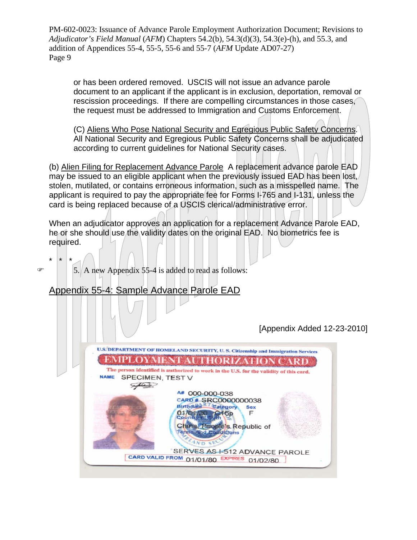or has been ordered removed. USCIS will not issue an advance parole document to an applicant if the applicant is in exclusion, deportation, removal or rescission proceedings. If there are compelling circumstances in those cases, the request must be addressed to Immigration and Customs Enforcement.

(C) Aliens Who Pose National Security and Egregious Public Safety Concerns. All National Security and Egregious Public Safety Concerns shall be adjudicated according to current guidelines for National Security cases.

(b) Alien Filing for Replacement Advance Parole A replacement advance parole EAD may be issued to an eligible applicant when the previously issued EAD has been lost, stolen, mutilated, or contains erroneous information, such as a misspelled name. The applicant is required to pay the appropriate fee for Forms I-765 and I-131, unless the card is being replaced because of a USCIS clerical/administrative error.

When an adjudicator approves an application for a replacement Advance Parole EAD, he or she should use the validity dates on the original EAD. No biometrics fee is required.

\* \* \*  $\in$  5. A new Appendix 55-4 is added to read as follows:

### Appendix 55-4: Sample Advance Parole EAD

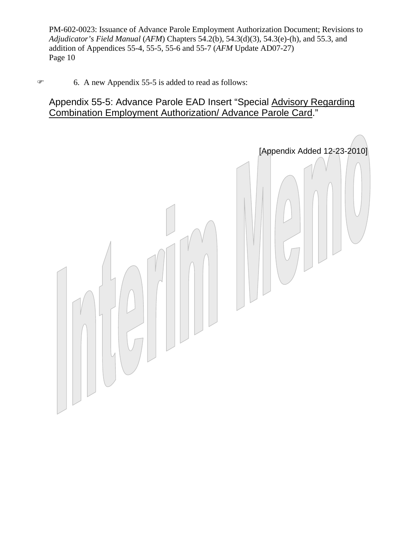### 6. A new Appendix 55-5 is added to read as follows:

### Appendix 55-5: Advance Parole EAD Insert "Special Advisory Regarding Combination Employment Authorization/ Advance Parole Card."

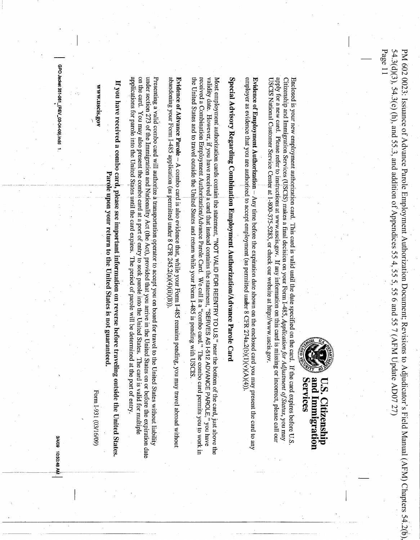Page 1154.3(d)(3), 54.3(e) (h), and 55.3, and addition of Appendices 55 4, 55 5, 55 6 and 55 7 (AFM Update AD07 27) 54.3(d)(3), 54.3(e) (h), and 55.3, and addition of Appendices 55 4, 55 5, 55 6 and 55 7 (AFM Update AD07 27) PM 602 0023: Issuance of Advance Parole Employment Authorization Document; Revisions to Adjudicator's Field Manual (AFM) Chapters 54.2(b). PM 602 0023: Issuance of Advance Parole Employment Authorization Document; Revisions to Adjudicator's Field Manual (AFM) Chapters 54.2(b),



# **Services** and Immigration U.S. Citizenship

apply for a new card. Please refer to instructions at www.uscis.gov. If any information on this card is missing or incorrect, please call our recorrect, please call our USCIS National Customer Service Center at 1-800-375-5283, or check our website at http://www.uscis.gov. Citizenship and Immigration Services (USCIS) makes a final decision on your Form I-485, Application for Adjustment of Status, you may Enclosed is your new employment authorization card. This card is valid until the date specified on the card. If the card expires before U.S

employer as evidence that you are authorized to accept employment (as permitted under 8 CFR 274a.2(b)(1)(v)(A)(4)) Evidence of Employment Authorization - Any time before the expiration date shown on the enclosed card you may present the card to any

Special Advisory Regarding Combination Employment Authorization/Advance Parole Card

received a Combination Employment Authorization/Advance Parole Card. We call it a "combo card." The combo card permits you to work in the received actionary of the combo card permits you to work in validity date. However, if you have received a card that instead contains the statement, "SERVES AS I-512 ADVANCE PAROLE," you have Most employment authorization cards contain the statement, "NOT VALID FOR REENTRY TO U.S." near the bottom of the card, just above the the United States and to travel outside the United States and return while your Form 1-485 is pending with USCIS.

abandoning your Form I-485 application (as permitted under 8 CFR 245.2(a)(4)(ii)(B)) Evidence of Advance Parole  $\rightarrow$  A combo card is also evidence that, while your Form I-485 remains pending, you may travel abroad withour

on the card. You may also present the combo card at a port of entry to seek parole into the United States. The card is valid for multiple under section 273 of the Immigration and Nationality Act (the Act), provided that you arrive in the United States on or before the expiration date Presenting a valid combo card will authorize a transportation operator to accept you on board for travel to the United States without liability applications for parole into the United States until the card expires. The period of parole will be determined at the port of entry

If you have received a combo card, please see important information on reverse before traveling outside the United States Parole upon your return to the United States is not guaranteed.

Form I-931 (03/16/09)

GPO Jacket 351-261\_(REV\_03-04-09).indd

**MMW.USCES.gov** 

S/4/09 10:50:40 AM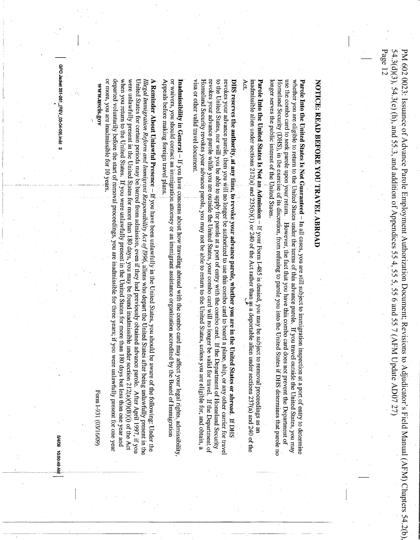Page 1254.3(d)(3), 54.3(e) (h), and 55.3, and addition of Appendices 55 4, 55 5, 55 6 and 55 7 (AFM Update AD07 27) PM 602 0023: Issuance of Advance Parole Employment Authorization Document; Revisions to Adjudicator's Field Manual (AFM) Chapters 54.2(b). 54.3(d)(3), 54.3(e) (h), and 55.3, and addition of Appendices 55 4, 55 5, 55 6 and 55 7 (AFM Update AD07 27) PM 602 0023: Issuance of Advance Parole Employment Authorization Document; Revisions to Adjudicator's Field Manual (AFM) Chapters 54.2(b),

# NOTICE: READ BEFORE YOU TRAVEL ABROAD

longer serves the public interest of the United States. use the combo card to seek parole upon your return. However, the fact that you have this combo card does not prevent the Department of whether you are eligible to return to the United States under the terms of this advance parole. If you travel outside the United States, you may **Parole Into the United States Is Not Guaranteed** – In all cases, you are still subject to immigration inspection at a port of entry to determine

Act. inadmissible alien under sections 212(a) and 235(b)(1) or 240 of the Act rather than  $\frac{3}{2}$ s a deportable alien under sections 237(a) and 240 of the Act.<br>Act. **Parole Into the United States Is Not an Admission** – If your Form 1-485 is denied, you may be subject to removal proceedings as  $\frac{1}{2}$ 

visa or other valid travel document. Homeland Security revokes your advance parole, you may not be able to return to the United States, unless you are eligible for, and obtain, a revokes your advance parole while you are outside the United States, your combo card will no longer be valid for travel. If the Department of to the United States, nor will you be able to apply for parole at a port of entry with the combo card. If the Department of Homeland Security revokes your advance parole, then you will no longer be authorized to use this combo card to board a plane, ship, or any other carrier for trave DHS reserves the authority, at any time, to revoke your advance parole, whether you are in the United States or abroad. If DHS

Appeals before making foreign travel plans. or waivers, you should contact an immigration attorney or an immigrant assistance organization accredited by the Board of Immigration Inadmissibility in General  $-$  If you have concerns about how traveling abroad with the combo card may affect your legal rights, admissibility

departed voluntarily before the start of removal proceedings, you are inadmissible for three years; if you were unlawfully present for one year or more, you are inadmissible for 10 years. when you return to the United States. If you were unlawfully present in the United States for more than 180 days but less than one year and were unlawfully present in the United States for more than 180 days, you may be found inadmissible under section  $212(a)(9)(\dot{B})(i)$  of the Act United States for certain periods may be barred from admission, even if they had previously obtained advance parole. After April 1997, if you Illegal Immigration Reform and Immigrant Responsibility Act of 1996, aliens who depart the United States after being unlawfully present in the A Reminder About Unlawful Presence – If you have been unlawfully in the United States, you should be aware of the following: Under the reminder the relation of the following: Under the

*MMW.uscis.gov* 

Form I-931 (03/16/09)

GPO Jacket 351-261\_(REV\_03-04-09).indd 2

MV 67:09:01 60/7/8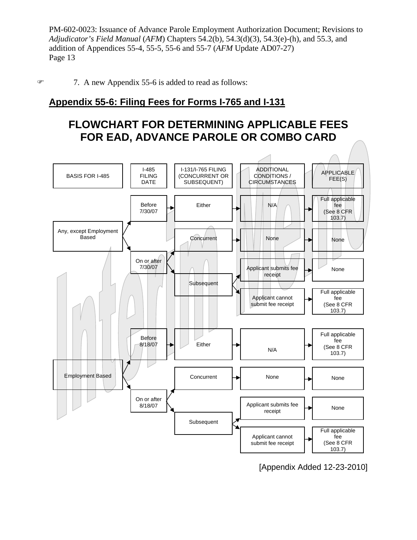7. A new Appendix 55-6 is added to read as follows:

### **Appendix 55-6: Filing Fees for Forms I-765 and I-131**

### **FLOWCHART FOR DETERMINING APPLICABLE FEES FOR EAD, ADVANCE PAROLE OR COMBO CARD**



[Appendix Added 12-23-2010]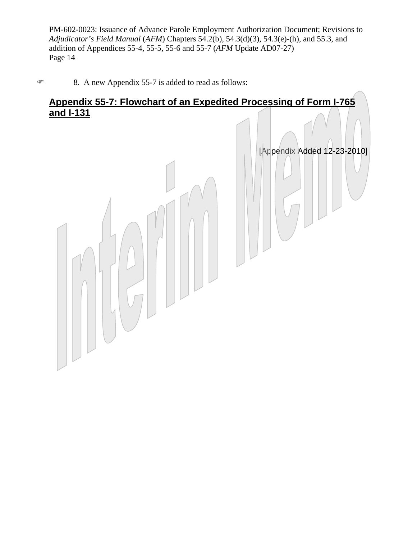### 8. A new Appendix 55-7 is added to read as follows:

### **Appendix 55-7: Flowchart of an Expedited Processing of Form I-765 and I-131**

[Appendix Added 12-23-2010]

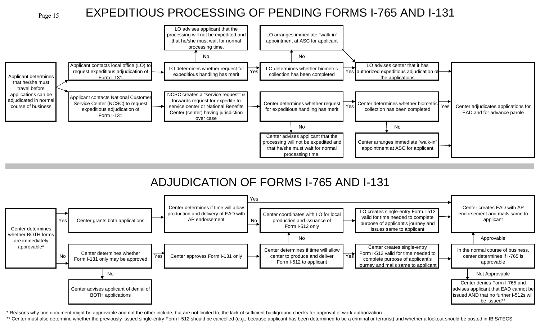

## EXPEDITIOUS PROCESSING OF PENDING FORMS I-765 AND I-131



# ADJUDICATION OF FORMS I-765 AND I-131



\* Reasons why one document might be approvable and not the other include, but are not limited to, the lack of sufficient background checks for approval of work authorization.

\*\* Center must also determine whether the previously-issued single-entry Form I-512 should be cancelled (e.g., because applicant has been determined to be a criminal or terrorist) and whether a lookout should be posted in